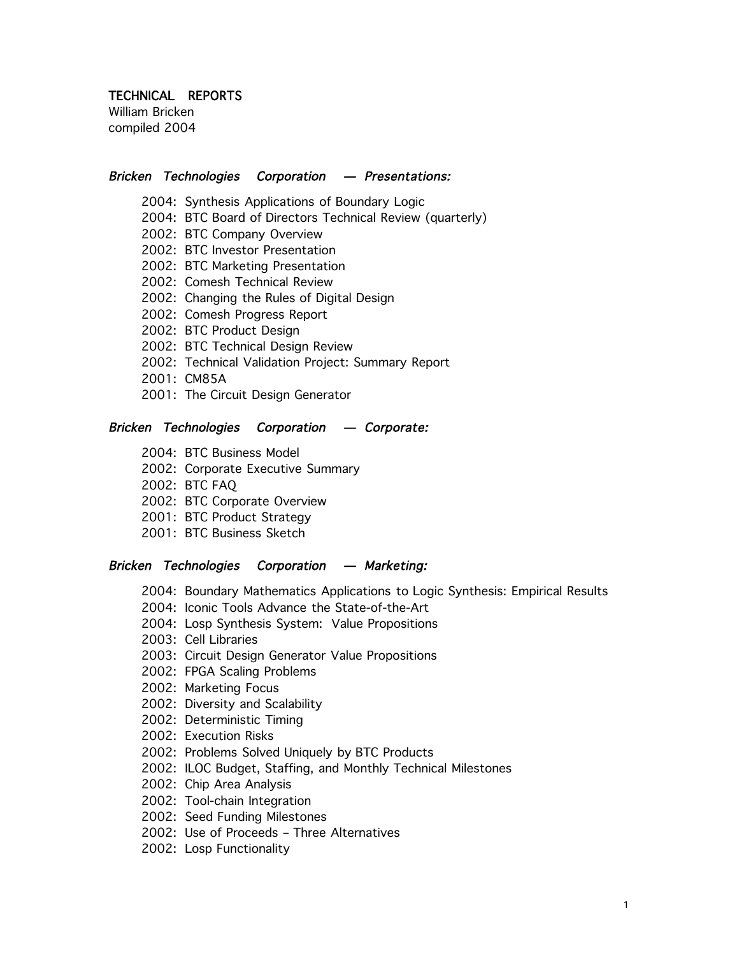#### Bricken Technologies Corporation — Presentations:

2004: Synthesis Applications of Boundary Logic

- 2004: BTC Board of Directors Technical Review (quarterly)
- 2002: BTC Company Overview
- 2002: BTC Investor Presentation
- 2002: BTC Marketing Presentation
- 2002: Comesh Technical Review
- 2002: Changing the Rules of Digital Design
- 2002: Comesh Progress Report
- 2002: BTC Product Design
- 2002: BTC Technical Design Review
- 2002: Technical Validation Project: Summary Report
- 2001: CM85A
- 2001: The Circuit Design Generator

# Bricken Technologies Corporation — Corporate:

- 2004: BTC Business Model
- 2002: Corporate Executive Summary
- 2002: BTC FAQ
- 2002: BTC Corporate Overview
- 2001: BTC Product Strategy
- 2001: BTC Business Sketch

#### Bricken Technologies Corporation — Marketing:

- 2004: Boundary Mathematics Applications to Logic Synthesis: Empirical Results
- 2004: Iconic Tools Advance the State-of-the-Art
- 2004: Losp Synthesis System: Value Propositions
- 2003: Cell Libraries
- 2003: Circuit Design Generator Value Propositions
- 2002: FPGA Scaling Problems
- 2002: Marketing Focus
- 2002: Diversity and Scalability
- 2002: Deterministic Timing
- 2002: Execution Risks
- 2002: Problems Solved Uniquely by BTC Products
- 2002: ILOC Budget, Staffing, and Monthly Technical Milestones
- 2002: Chip Area Analysis
- 2002: Tool-chain Integration
- 2002: Seed Funding Milestones
- 2002: Use of Proceeds Three Alternatives
- 2002: Losp Functionality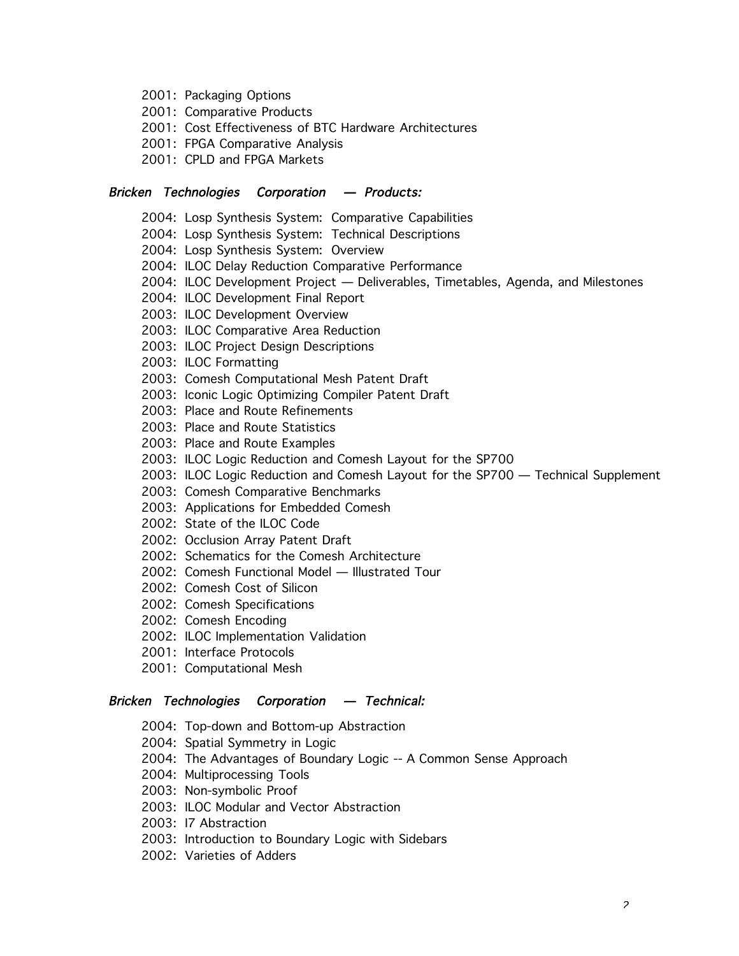- 2001: Packaging Options
- 2001: Comparative Products
- 2001: Cost Effectiveness of BTC Hardware Architectures
- 2001: FPGA Comparative Analysis
- 2001: CPLD and FPGA Markets

### Bricken Technologies Corporation — Products:

- 2004: Losp Synthesis System: Comparative Capabilities
- 2004: Losp Synthesis System: Technical Descriptions
- 2004: Losp Synthesis System: Overview
- 2004: ILOC Delay Reduction Comparative Performance
- 2004: ILOC Development Project Deliverables, Timetables, Agenda, and Milestones
- 2004: ILOC Development Final Report
- 2003: ILOC Development Overview
- 2003: ILOC Comparative Area Reduction
- 2003: ILOC Project Design Descriptions
- 2003: ILOC Formatting
- 2003: Comesh Computational Mesh Patent Draft
- 2003: Iconic Logic Optimizing Compiler Patent Draft
- 2003: Place and Route Refinements
- 2003: Place and Route Statistics
- 2003: Place and Route Examples
- 2003: ILOC Logic Reduction and Comesh Layout for the SP700
- 2003: ILOC Logic Reduction and Comesh Layout for the SP700 Technical Supplement
- 2003: Comesh Comparative Benchmarks
- 2003: Applications for Embedded Comesh
- 2002: State of the ILOC Code
- 2002: Occlusion Array Patent Draft
- 2002: Schematics for the Comesh Architecture
- 2002: Comesh Functional Model Illustrated Tour
- 2002: Comesh Cost of Silicon
- 2002: Comesh Specifications
- 2002: Comesh Encoding
- 2002: ILOC Implementation Validation
- 2001: Interface Protocols
- 2001: Computational Mesh

### Bricken Technologies Corporation — Technical:

- 2004: Top-down and Bottom-up Abstraction
- 2004: Spatial Symmetry in Logic
- 2004: The Advantages of Boundary Logic -- A Common Sense Approach
- 2004: Multiprocessing Tools
- 2003: Non-symbolic Proof
- 2003: ILOC Modular and Vector Abstraction
- 2003: I7 Abstraction
- 2003: Introduction to Boundary Logic with Sidebars
- 2002: Varieties of Adders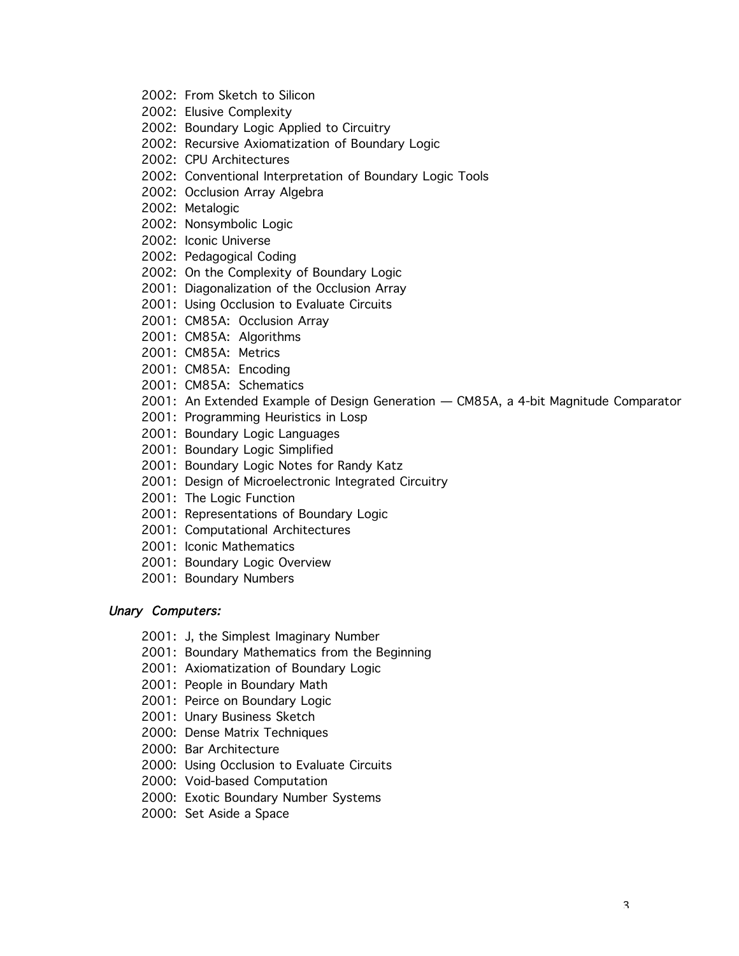- 2002: From Sketch to Silicon
- 2002: Elusive Complexity
- 2002: Boundary Logic Applied to Circuitry
- 2002: Recursive Axiomatization of Boundary Logic
- 2002: CPU Architectures
- 2002: Conventional Interpretation of Boundary Logic Tools
- 2002: Occlusion Array Algebra
- 2002: Metalogic
- 2002: Nonsymbolic Logic
- 2002: Iconic Universe
- 2002: Pedagogical Coding
- 2002: On the Complexity of Boundary Logic
- 2001: Diagonalization of the Occlusion Array
- 2001: Using Occlusion to Evaluate Circuits
- 2001: CM85A: Occlusion Array
- 2001: CM85A: Algorithms
- 2001: CM85A: Metrics
- 2001: CM85A: Encoding
- 2001: CM85A: Schematics
- 2001: An Extended Example of Design Generation CM85A, a 4-bit Magnitude Comparator
- 2001: Programming Heuristics in Losp
- 2001: Boundary Logic Languages
- 2001: Boundary Logic Simplified
- 2001: Boundary Logic Notes for Randy Katz
- 2001: Design of Microelectronic Integrated Circuitry
- 2001: The Logic Function
- 2001: Representations of Boundary Logic
- 2001: Computational Architectures
- 2001: Iconic Mathematics
- 2001: Boundary Logic Overview
- 2001: Boundary Numbers

## Unary Computers:

- 2001: J, the Simplest Imaginary Number
- 2001: Boundary Mathematics from the Beginning
- 2001: Axiomatization of Boundary Logic
- 2001: People in Boundary Math
- 2001: Peirce on Boundary Logic
- 2001: Unary Business Sketch
- 2000: Dense Matrix Techniques
- 2000: Bar Architecture
- 2000: Using Occlusion to Evaluate Circuits
- 2000: Void-based Computation
- 2000: Exotic Boundary Number Systems
- 2000: Set Aside a Space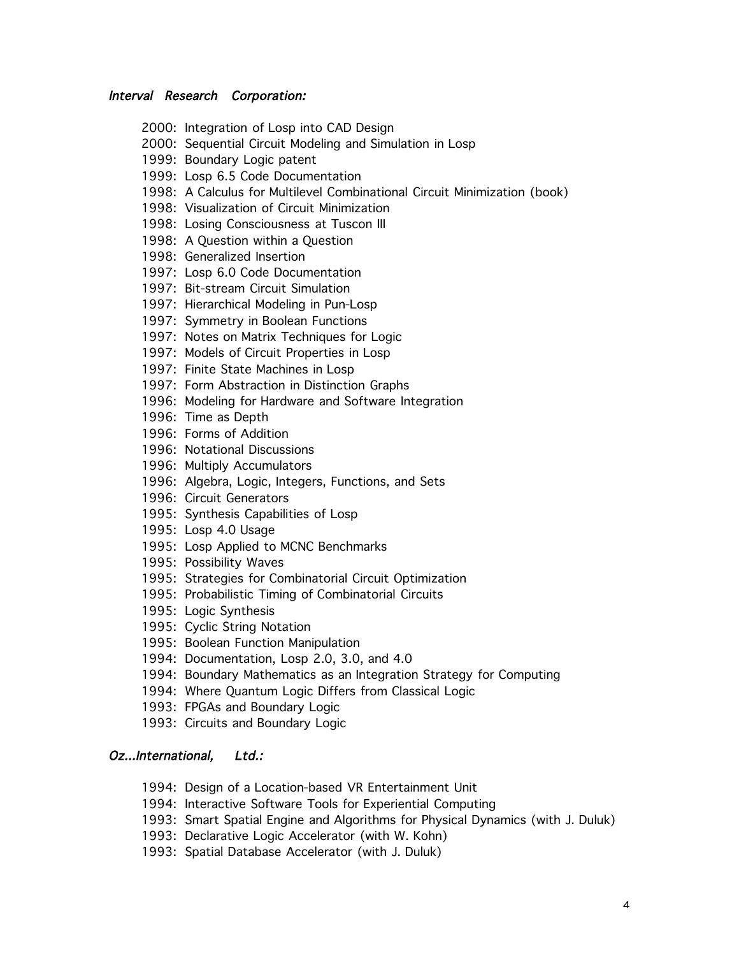### Interval Research Corporation:

- 2000: Integration of Losp into CAD Design
- 2000: Sequential Circuit Modeling and Simulation in Losp
- 1999: Boundary Logic patent
- 1999: Losp 6.5 Code Documentation
- 1998: A Calculus for Multilevel Combinational Circuit Minimization (book)
- 1998: Visualization of Circuit Minimization
- 1998: Losing Consciousness at Tuscon III
- 1998: A Question within a Question
- 1998: Generalized Insertion
- 1997: Losp 6.0 Code Documentation
- 1997: Bit-stream Circuit Simulation
- 1997: Hierarchical Modeling in Pun-Losp
- 1997: Symmetry in Boolean Functions
- 1997: Notes on Matrix Techniques for Logic
- 1997: Models of Circuit Properties in Losp
- 1997: Finite State Machines in Losp
- 1997: Form Abstraction in Distinction Graphs
- 1996: Modeling for Hardware and Software Integration
- 1996: Time as Depth
- 1996: Forms of Addition
- 1996: Notational Discussions
- 1996: Multiply Accumulators
- 1996: Algebra, Logic, Integers, Functions, and Sets
- 1996: Circuit Generators
- 1995: Synthesis Capabilities of Losp
- 1995: Losp 4.0 Usage
- 1995: Losp Applied to MCNC Benchmarks
- 1995: Possibility Waves
- 1995: Strategies for Combinatorial Circuit Optimization
- 1995: Probabilistic Timing of Combinatorial Circuits
- 1995: Logic Synthesis
- 1995: Cyclic String Notation
- 1995: Boolean Function Manipulation
- 1994: Documentation, Losp 2.0, 3.0, and 4.0
- 1994: Boundary Mathematics as an Integration Strategy for Computing
- 1994: Where Quantum Logic Differs from Classical Logic
- 1993: FPGAs and Boundary Logic
- 1993: Circuits and Boundary Logic

## Oz...International, Ltd.:

- 1994: Design of a Location-based VR Entertainment Unit
- 1994: Interactive Software Tools for Experiential Computing
- 1993: Smart Spatial Engine and Algorithms for Physical Dynamics (with J. Duluk)
- 1993: Declarative Logic Accelerator (with W. Kohn)
- 1993: Spatial Database Accelerator (with J. Duluk)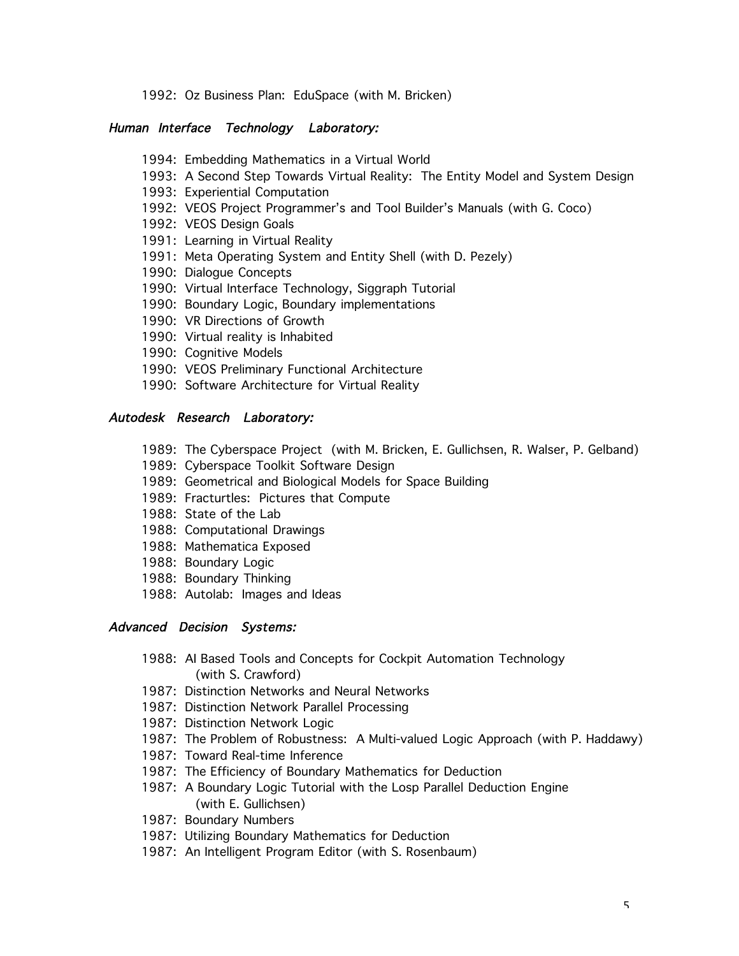#### 1992: Oz Business Plan: EduSpace (with M. Bricken)

#### Human Interface Technology Laboratory:

- 1994: Embedding Mathematics in a Virtual World
- 1993: A Second Step Towards Virtual Reality: The Entity Model and System Design
- 1993: Experiential Computation
- 1992: VEOS Project Programmer's and Tool Builder's Manuals (with G. Coco)
- 1992: VEOS Design Goals
- 1991: Learning in Virtual Reality
- 1991: Meta Operating System and Entity Shell (with D. Pezely)
- 1990: Dialogue Concepts
- 1990: Virtual Interface Technology, Siggraph Tutorial
- 1990: Boundary Logic, Boundary implementations
- 1990: VR Directions of Growth
- 1990: Virtual reality is Inhabited
- 1990: Cognitive Models
- 1990: VEOS Preliminary Functional Architecture
- 1990: Software Architecture for Virtual Reality

# Autodesk Research Laboratory:

- 1989: The Cyberspace Project (with M. Bricken, E. Gullichsen, R. Walser, P. Gelband)
- 1989: Cyberspace Toolkit Software Design
- 1989: Geometrical and Biological Models for Space Building
- 1989: Fracturtles: Pictures that Compute
- 1988: State of the Lab
- 1988: Computational Drawings
- 1988: Mathematica Exposed
- 1988: Boundary Logic
- 1988: Boundary Thinking
- 1988: Autolab: Images and Ideas

## Advanced Decision Systems:

- 1988: AI Based Tools and Concepts for Cockpit Automation Technology (with S. Crawford)
- 1987: Distinction Networks and Neural Networks
- 1987: Distinction Network Parallel Processing
- 1987: Distinction Network Logic
- 1987: The Problem of Robustness: A Multi-valued Logic Approach (with P. Haddawy)
- 1987: Toward Real-time Inference
- 1987: The Efficiency of Boundary Mathematics for Deduction
- 1987: A Boundary Logic Tutorial with the Losp Parallel Deduction Engine (with E. Gullichsen)
- 1987: Boundary Numbers
- 1987: Utilizing Boundary Mathematics for Deduction
- 1987: An Intelligent Program Editor (with S. Rosenbaum)